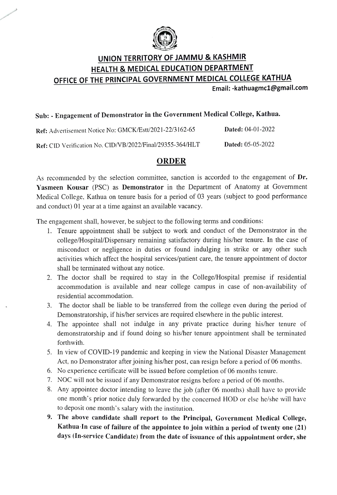

# UNION TERRITORY OF JAMMU & KASHMIR HEALTH & MEDICAL EDUCATION DEPARTMENT OFFICE OF THE PRINCIPAL GOVERNMENT MEDICAL COLLEGE KATHUA

Email: -kathuagmc1@gmail.com

### Sub: Engagement of Demonstrator in the Government Medical College, Kathua.

Ref: Advertisement Notice No: GMCK/Estt/2021-22/3162-65 Dated: 04-01-2022 Ref: CID Verification No. CID/VB/2022/Final/29355-364/HLT Dated: 05-05-2022

#### ORDER

As recommended by the selection committee, sanction is accorded to the engagement of Dr. Yasmeen Kousar (PSC) as Demonstrator in the Department of Anatomy at Government Medical College, Kathua on tenure basis for a period of 03 years (subject to good performance and conduct) 01 year at a time against an available vacancy.

The engagement shall, however, be subject to the following terms and conditions:

- 1. Tenure appointment shall be subject to work and conduct of the Demonstrator in the college/Hospital/Dispensary remaining satisfactory during his/her tenure. In the case of misconduct or negligence in duties or found indulging in strike or any other such activities which affect the hospital services/patient care, the tenure appointment of doctor shall be terminated without any notice.
- 2. The doctor shall be required to stay in the College/Hospital premise if residential accommodation is available and near college campus in case of non-availability of residential accommodation.
- 3. The doctor shall be liable to be transferred from the college even during the period of Demonstratorship, if his/her services are required elsewhere in the public interest.
- 4. The appointee shall not indulge in any private practice during his/her tenure of demonstratorship and if found doing so his/her tenure appointment shall be terminated forthwith.
- 5. In view of COVID-19 pandemic and keeping in view the National Disaster Management Act, no Demonstrator after joining his/her post, can resign before a period of 06 months.
- 6. No experience certificate will be issued before completion of 06 months tenure.
- 7. NOC will not be issued if any Demonstrator resigns before a period of 06 months.
- 8. Any appointee doctor intending to leave the job (after 06 months) shall have to provide one month's prior notice duly forwarded by the concerned HOD or else he/she will have to deposit one month's salary with the institution.
- 9. The above candidate shall report to the Principal, Government Medical College, Kathua In case of failure of the appointee to join within a period of twenty one (21) days (In-service Candidate) from the date of issuance of this appointment order, she